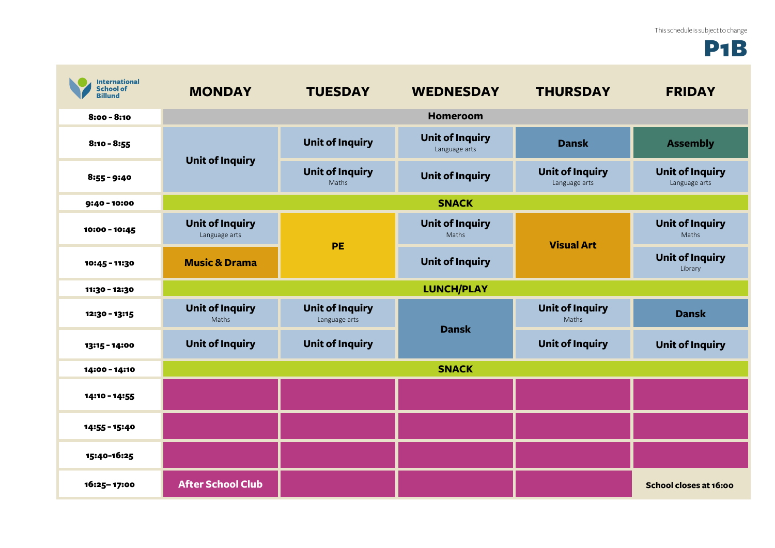## P1B

| <b>International</b><br><b>School of</b><br><b>Billund</b> | <b>MONDAY</b>                           | <b>TUESDAY</b>                          | <b>WEDNESDAY</b>                        | <b>THURSDAY</b>                         | <b>FRIDAY</b>                           |
|------------------------------------------------------------|-----------------------------------------|-----------------------------------------|-----------------------------------------|-----------------------------------------|-----------------------------------------|
| $8:00 - 8:10$                                              |                                         |                                         | <b>Homeroom</b>                         |                                         |                                         |
| $8:10 - 8:55$                                              | <b>Unit of Inquiry</b>                  | <b>Unit of Inquiry</b>                  | <b>Unit of Inquiry</b><br>Language arts | <b>Dansk</b>                            | <b>Assembly</b>                         |
| $8:55 - 9:40$                                              |                                         | <b>Unit of Inquiry</b><br>Maths         | <b>Unit of Inquiry</b>                  | <b>Unit of Inquiry</b><br>Language arts | <b>Unit of Inquiry</b><br>Language arts |
| 9:40 - 10:00                                               |                                         |                                         | <b>SNACK</b>                            |                                         |                                         |
| 10:00 - 10:45                                              | <b>Unit of Inquiry</b><br>Language arts | <b>PE</b>                               | <b>Unit of Inquiry</b><br>Maths         | <b>Visual Art</b>                       | <b>Unit of Inquiry</b><br>Maths         |
| 10:45 - 11:30                                              | <b>Music &amp; Drama</b>                |                                         | <b>Unit of Inquiry</b>                  |                                         | <b>Unit of Inquiry</b><br>Library       |
| 11:30 - 12:30                                              |                                         |                                         | <b>LUNCH/PLAY</b>                       |                                         |                                         |
| 12:30 - 13:15                                              | <b>Unit of Inquiry</b><br>Maths         | <b>Unit of Inquiry</b><br>Language arts | <b>Dansk</b>                            | <b>Unit of Inquiry</b><br>Maths         | <b>Dansk</b>                            |
| 13:15 - 14:00                                              | <b>Unit of Inquiry</b>                  | <b>Unit of Inquiry</b>                  |                                         | <b>Unit of Inquiry</b>                  | <b>Unit of Inquiry</b>                  |
| 14:00 - 14:10                                              | <b>SNACK</b>                            |                                         |                                         |                                         |                                         |
| 14:10 - 14:55                                              |                                         |                                         |                                         |                                         |                                         |
| 14:55 - 15:40                                              |                                         |                                         |                                         |                                         |                                         |
| 15:40-16:25                                                |                                         |                                         |                                         |                                         |                                         |
| 16:25-17:00                                                | <b>After School Club</b>                |                                         |                                         |                                         | School closes at 16:00                  |

**Contract**